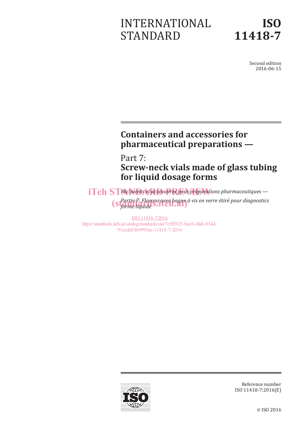# INTERNATIONAL STANDARD



Second edition 2016-06-15

# **Containers and accessories for pharmaceutical preparations —**

Part 7:

**Screw-neck vials made of glass tubing for liquid dosage forms**

 $iTeh$  STRécipients et accessoires pour préparations pharmaceutiques —

*Partie 7: Flacons avec bague à vis en verre étiré pour diagnostics (s Partie 7: Flacons avec bague à forme liquide* 

ISO 11418-7:2016 https://standards.iteh.ai/catalog/standards/sist/7c9f3925-bae8-4fab-834d-91ecdd546999/iso-11418-7-2016



Reference number ISO 11418-7:2016(E)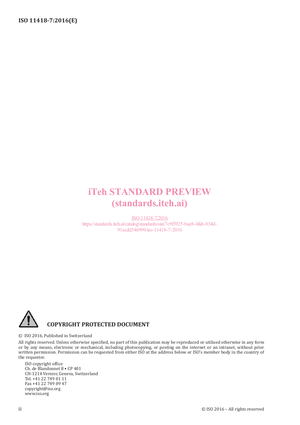# iTeh STANDARD PREVIEW (standards.iteh.ai)

ISO 11418-7:2016 https://standards.iteh.ai/catalog/standards/sist/7c9f3925-bae8-4fab-834d-91ecdd546999/iso-11418-7-2016



#### © ISO 2016, Published in Switzerland

All rights reserved. Unless otherwise specified, no part of this publication may be reproduced or utilized otherwise in any form or by any means, electronic or mechanical, including photocopying, or posting on the internet or an intranet, without prior written permission. Permission can be requested from either ISO at the address below or ISO's member body in the country of the requester.

ISO copyright office Ch. de Blandonnet 8 • CP 401 CH-1214 Vernier, Geneva, Switzerland Tel. +41 22 749 01 11 Fax +41 22 749 09 47 copyright@iso.org www.iso.org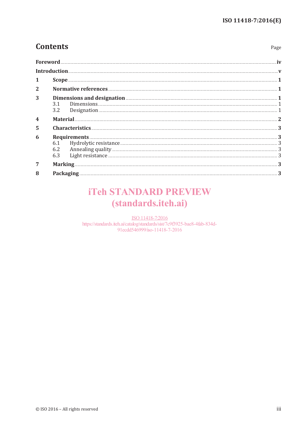Page

## **Contents**

|   | $\textbf{Scope} \texttt{} \texttt{} \texttt{} \texttt{} \texttt{} \texttt{} \texttt{} \texttt{} \texttt{} \texttt{} \texttt{} \texttt{} \texttt{} \texttt{} \texttt{} \texttt{} \texttt{} \texttt{} \texttt{} \texttt{} \texttt{} \texttt{} \texttt{} \texttt{} \texttt{} \texttt{} \texttt{} \texttt{} \texttt{} \texttt{} \texttt{} \texttt{} \texttt{} \texttt{} \texttt{} \texttt{$ |
|---|-----------------------------------------------------------------------------------------------------------------------------------------------------------------------------------------------------------------------------------------------------------------------------------------------------------------------------------------------------------------------------------------|
|   |                                                                                                                                                                                                                                                                                                                                                                                         |
| 3 | Dimensions and designation <b>Executive Service Contract Contract Contract Contract Contract Contract Contract Contract Contract Contract Contract Contract Contract Contract Contract Contract Contract Contract Contract Contr</b>                                                                                                                                                    |
|   |                                                                                                                                                                                                                                                                                                                                                                                         |
| 5 |                                                                                                                                                                                                                                                                                                                                                                                         |
| 6 |                                                                                                                                                                                                                                                                                                                                                                                         |
| 7 |                                                                                                                                                                                                                                                                                                                                                                                         |
| 8 |                                                                                                                                                                                                                                                                                                                                                                                         |

# **iTeh STANDARD PREVIEW** (standards.iteh.ai)

ISO 11418-7:2016 https://standards.iteh.ai/catalog/standards/sist/7c9f3925-bae8-4fab-834d-91ecdd546999/iso-11418-7-2016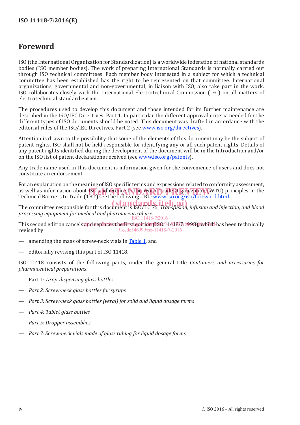## **Foreword**

ISO (the International Organization for Standardization) is a worldwide federation of national standards bodies (ISO member bodies). The work of preparing International Standards is normally carried out through ISO technical committees. Each member body interested in a subject for which a technical committee has been established has the right to be represented on that committee. International organizations, governmental and non-governmental, in liaison with ISO, also take part in the work. ISO collaborates closely with the International Electrotechnical Commission (IEC) on all matters of electrotechnical standardization.

The procedures used to develop this document and those intended for its further maintenance are described in the ISO/IEC Directives, Part 1. In particular the different approval criteria needed for the different types of ISO documents should be noted. This document was drafted in accordance with the editorial rules of the ISO/IEC Directives, Part 2 (see www.iso.org/directives).

Attention is drawn to the possibility that some of the elements of this document may be the subject of patent rights. ISO shall not be held responsible for identifying any or all such patent rights. Details of any patent rights identified during the development of the document will be in the Introduction and/or on the ISO list of patent declarations received (see www.iso.org/patents).

Any trade name used in this document is information given for the convenience of users and does not constitute an endorsement.

For an explanation on the meaning of ISO specific terms and expressions related to conformity assessment, as well as information about ISO's adherence to the World Trade Organization (WTO) principles in the<br>Technical Barriers to Trade (TBT) see the following URL: www.iso.org/iso/foreword.html Technical Barriers to Trade (TBT) see the following URL: www.iso.org/iso/foreword.html.

The committee responsible for this document is ISO/TC 76, *Transfusion*, *infusion and injection*, and blood **(standards.iteh.ai)** *processing equipment for medical and pharmaceutical use*. 0 11418-

This second edition cancels and replaces the first edition (ISO 1141827-1998), which has been technically revised by 91ecdd546999/iso-11418-7-2016

- amending the mass of screw-neck vials in Table 1, and
- editorially revising this part of ISO 11418.

ISO 11418 consists of the following parts, under the general title *Containers and accessories for pharmaceutical preparations*:

- Part 1: *Drop-dispensing glass bottles*
- *Part 2: Screw-neck glass bottles for syrups*
- *Part 3: Screw-neck glass bottles (veral) for solid and liquid dosage forms*
- *Part 4: Tablet glass bottles*
- *Part 5: Dropper assemblies*
- *Part 7: Screw-neck vials made of glass tubing for liquid dosage forms*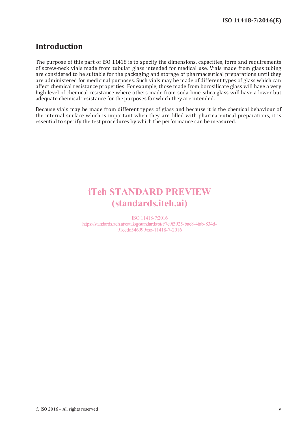### **Introduction**

The purpose of this part of ISO 11418 is to specify the dimensions, capacities, form and requirements of screw-neck vials made from tubular glass intended for medical use. Vials made from glass tubing are considered to be suitable for the packaging and storage of pharmaceutical preparations until they are administered for medicinal purposes. Such vials may be made of different types of glass which can affect chemical resistance properties. For example, those made from borosilicate glass will have a very high level of chemical resistance where others made from soda-lime-silica glass will have a lower but adequate chemical resistance for the purposes for which they are intended.

Because vials may be made from different types of glass and because it is the chemical behaviour of the internal surface which is important when they are filled with pharmaceutical preparations, it is essential to specify the test procedures by which the performance can be measured.

# iTeh STANDARD PREVIEW (standards.iteh.ai)

ISO 11418-7:2016 https://standards.iteh.ai/catalog/standards/sist/7c9f3925-bae8-4fab-834d-91ecdd546999/iso-11418-7-2016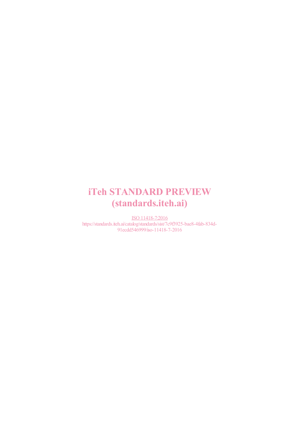# iTeh STANDARD PREVIEW (standards.iteh.ai)

ISO 11418-7:2016 https://standards.iteh.ai/catalog/standards/sist/7c9f3925-bae8-4fab-834d-91ecdd546999/iso-11418-7-2016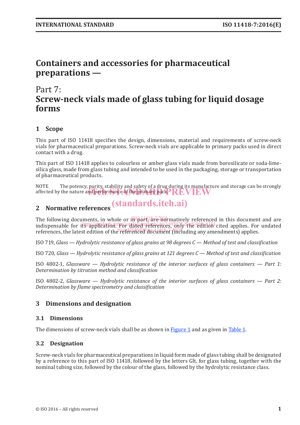## **Containers and accessories for pharmaceutical preparations —**

### Part 7:

# **Screw-neck vials made of glass tubing for liquid dosage forms**

#### **1 Scope**

This part of ISO 11418 specifies the design, dimensions, material and requirements of screw-neck vials for pharmaceutical preparations. Screw-neck vials are applicable to primary packs used in direct contact with a drug.

This part of ISO 11418 applies to colourless or amber glass vials made from borosilicate or soda-limesilica glass, made from glass tubing and intended to be used in the packaging, storage or transportation of pharmaceutical products.

NOTE The potency, purity, stability and safety of a drug during its manufacture and storage can be strongly affected by the nature and performance of the primary pack.  $\bf REWEW$ 

# **2 Normative references** (standards.iteh.ai)

The following documents, in whole or  $\frac{150}{11418}$ ,  $\frac{7.2016}{2000}$  matively referenced in this document and are indispensable for its application. For dated references, only the edition cited applies. For undated indispensable for its application. For undated references, the latest edition of the referenced document (including any amendments) applies.

ISO 719, *Glass — Hydrolytic resistance of glass grains at 98 degrees C — Method of test and classification*

ISO 720, *Glass — Hydrolytic resistance of glass grains at 121 degrees C — Method of test and classification*

ISO 4802-1, *Glassware — Hydrolytic resistance of the interior surfaces of glass containers — Part 1: Determination by titration method and classification*

ISO 4802-2, *Glassware — Hydrolytic resistance of the interior surfaces of glass containers — Part 2: Determination by flame spectrometry and classification*

#### **3 Dimensions and designation**

#### **3.1 Dimensions**

The dimensions of screw-neck vials shall be as shown in Figure 1 and as given in Table 1.

#### **3.2 Designation**

Screw-neck vials for pharmaceutical preparations in liquid form made of glass tubing shall be designated by a reference to this part of ISO 11418, followed by the letters Glt, for glass tubing, together with the nominal tubing size, followed by the colour of the glass, followed by the hydrolytic resistance class.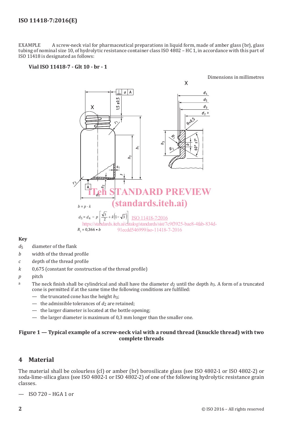#### **ISO 11418-7:2016(E)**

EXAMPLE A screw-neck vial for pharmaceutical preparations in liquid form, made of amber glass (br), glass tubing of nominal size 10, of hydrolytic resistance container class ISO 4802 – HC 1, in accordance with this part of ISO 11418 is designated as follows:

#### **Vial ISO 11418-7 - Glt 10 - br - 1**



#### **Key**

- *d*<sup>5</sup> diameter of the flank
- *b* width of the thread profile
- *c* depth of the thread profile
- *k* 0,675 (constant for construction of the thread profile)
- *p* pitch
- <sup>a</sup> The neck finish shall be cylindrical and shall have the diameter  $d_2$  until the depth  $h_3$ . A form of a truncated cone is permitted if at the same time the following conditions are fulfilled:
	- the truncated cone has the height *h*3;
	- the admissible tolerances of  $d_2$  are retained;
	- the larger diameter is located at the bottle opening;
	- the larger diameter is maximum of 0,3 mm longer than the smaller one.

#### **Figure 1 — Typical example of a screw-neck vial with a round thread (knuckle thread) with two complete threads**

#### **4 Material**

The material shall be colourless (cl) or amber (br) borosilicate glass (see ISO 4802-1 or ISO 4802-2) or soda-lime-silica glass (see ISO 4802-1 or ISO 4802-2) of one of the following hydrolytic resistance grain classes.

— ISO 720 – HGA 1 or